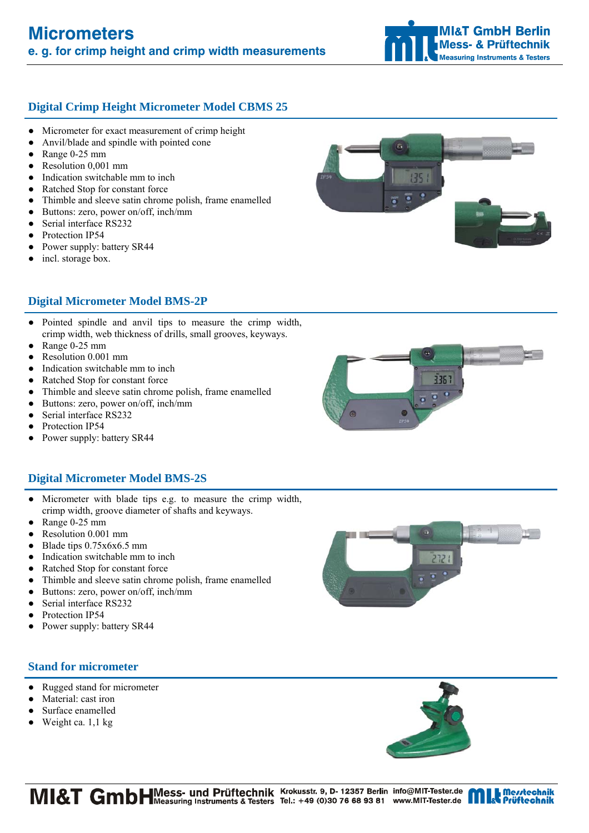# **Digital Crimp Height Micrometer Model CBMS 25**

- Micrometer for exact measurement of crimp height
- Anvil/blade and spindle with pointed cone
- Range  $0-25$  mm
- Resolution 0,001 mm
- Indication switchable mm to inch
- Ratched Stop for constant force
- Thimble and sleeve satin chrome polish, frame enamelled
- Buttons: zero, power on/off, inch/mm
- Serial interface RS232
- Protection IP54
- Power supply: battery SR44
- incl. storage box.



- Pointed spindle and anvil tips to measure the crimp width, crimp width, web thickness of drills, small grooves, keyways.
- Range  $0-25$  mm
- Resolution 0.001 mm
- Indication switchable mm to inch
- Ratched Stop for constant force
- Thimble and sleeve satin chrome polish, frame enamelled
- Buttons: zero, power on/off, inch/mm
- Serial interface RS232
- Protection IP54
- Power supply: battery SR44

### **Digital Micrometer Model BMS-2S**

- Micrometer with blade tips e.g. to measure the crimp width, crimp width, groove diameter of shafts and keyways.
- Range  $0-25$  mm
- Resolution 0.001 mm
- Blade tips 0.75x6x6.5 mm
- Indication switchable mm to inch
- Ratched Stop for constant force
- Thimble and sleeve satin chrome polish, frame enamelled
- Buttons: zero, power on/off, inch/mm
- Serial interface RS232
- Protection IP54
- Power supply: battery SR44

# **Stand for micrometer**

- Rugged stand for micrometer
- Material: cast iron
- Surface enamelled
- $\bullet$  Weight ca. 1,1 kg